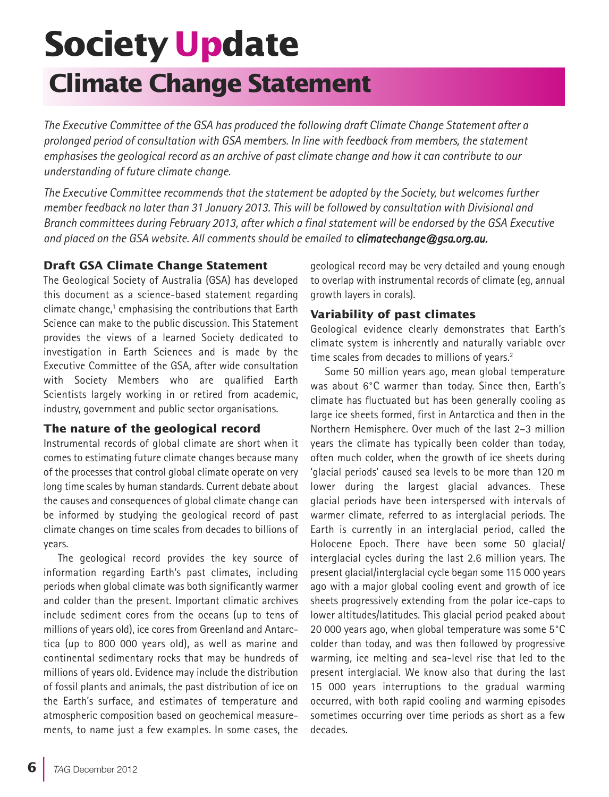# **Society Update**

# **Climate Change Statement**

*The Executive Committee of the GSA has produced the following draft Climate Change Statement after a prolonged period of consultation with GSA members. In line with feedback from members, the statement* emphasises the geological record as an archive of past climate change and how it can contribute to our *understanding of future climate change.*

*The Executive Committee recommends that the statement be adopted by the Society, but welcomes further member feedback no later than 31 January 2013. This will be followed by consultation with Divisional and* Branch committees during February 2013, after which a final statement will be endorsed by the GSA Executive *and placed on the GSA website. All comments should be emailed to climatechange@gsa.org.au.*

## **Draft GSA Climate Change Statement**

The Geological Society of Australia (GSA) has developed this document as a science-based statement regarding climate change, <sup>1</sup> emphasising the contributions that Earth Science can make to the public discussion. This Statement provides the views of a learned Society dedicated to investigation in Earth Sciences and is made by the Executive Committee of the GSA, after wide consultation with Society Members who are qualified Earth Scientists largely working in or retired from academic, industry, government and public sector organisations.

### **The nature of the geological record**

Instrumental records of global climate are short when it comes to estimating future climate changes because many of the processes that control global climate operate on very long time scales by human standards. Current debate about the causes and consequences of global climate change can be informed by studying the geological record of past climate changes on time scales from decades to billions of years.

The geological record provides the key source of information regarding Earth's past climates, including periods when global climate was both significantly warmer and colder than the present. Important climatic archives include sediment cores from the oceans (up to tens of millions of years old), ice cores from Greenland and Antarctica (up to 800 000 years old), as well as marine and continental sedimentary rocks that may be hundreds of millions of years old. Evidence may include the distribution of fossil plants and animals, the past distribution of ice on the Earth's surface, and estimates of temperature and atmospheric composition based on geochemical measurements, to name just a few examples. In some cases, the

geological record may be very detailed and young enough to overlap with instrumental records of climate (eg, annual growth layers in corals).

# **Variability of past climates**

Geological evidence clearly demonstrates that Earth's climate system is inherently and naturally variable over time scales from decades to millions of years.<sup>2</sup>

Some 50 million years ago, mean global temperature was about 6°C warmer than today. Since then, Earth's climate has fluctuated but has been generally cooling as large ice sheets formed, first in Antarctica and then in the Northern Hemisphere. Over much of the last 2–3 million years the climate has typically been colder than today, often much colder, when the growth of ice sheets during 'glacial periods' caused sea levels to be more than 120 m lower during the largest glacial advances. These glacial periods have been interspersed with intervals of warmer climate, referred to as interglacial periods. The Earth is currently in an interglacial period, called the Holocene Epoch. There have been some 50 glacial/ interglacial cycles during the last 2.6 million years. The present glacial/interglacial cycle began some 115 000 years ago with a major global cooling event and growth of ice sheets progressively extending from the polar ice-caps to lower altitudes/latitudes. This glacial period peaked about 20 000 years ago, when global temperature was some 5°C colder than today, and was then followed by progressive warming, ice melting and sea-level rise that led to the present interglacial. We know also that during the last 15 000 years interruptions to the gradual warming occurred, with both rapid cooling and warming episodes sometimes occurring over time periods as short as a few decades.